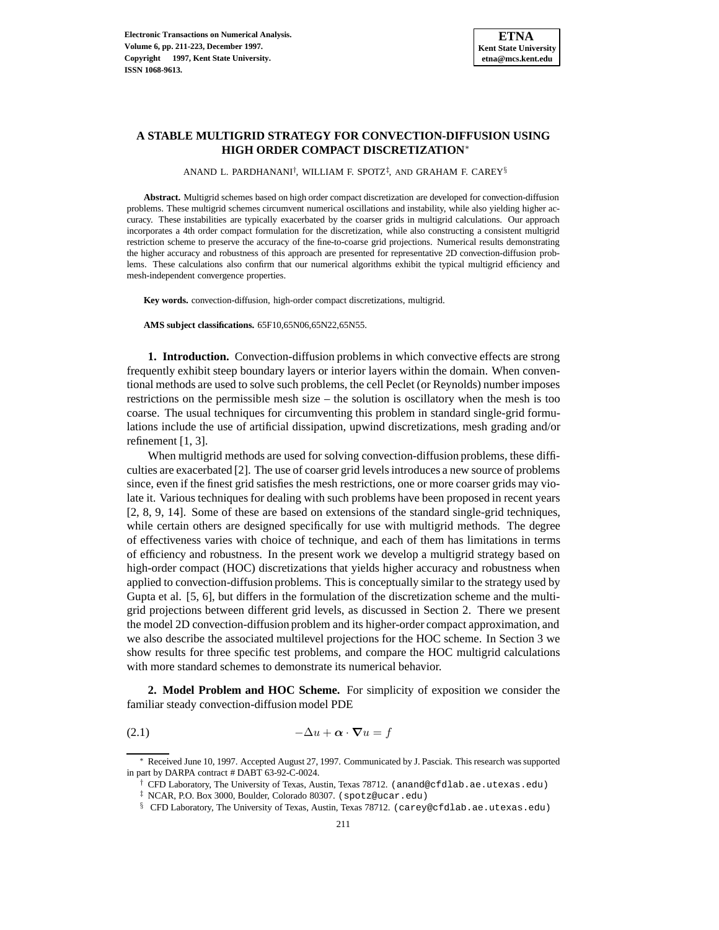## **A STABLE MULTIGRID STRATEGY FOR CONVECTION-DIFFUSION USING HIGH ORDER COMPACT DISCRETIZATION**<sup>∗</sup>

ANAND L. PARDHANANI<sup>†</sup>, WILLIAM F. SPOTZ<sup>‡</sup>, AND GRAHAM F. CAREY<sup>§</sup>

**Abstract.** Multigrid schemes based on high order compact discretization are developed for convection-diffusion problems. These multigrid schemes circumvent numerical oscillations and instability, while also yielding higher accuracy. These instabilities are typically exacerbated by the coarser grids in multigrid calculations. Our approach incorporates a 4th order compact formulation for the discretization, while also constructing a consistent multigrid restriction scheme to preserve the accuracy of the fine-to-coarse grid projections. Numerical results demonstrating the higher accuracy and robustness of this approach are presented for representative 2D convection-diffusion problems. These calculations also confirm that our numerical algorithms exhibit the typical multigrid efficiency and mesh-independent convergence properties.

**Key words.** convection-diffusion, high-order compact discretizations, multigrid.

**AMS subject classifications.** 65F10,65N06,65N22,65N55.

**1. Introduction.** Convection-diffusion problems in which convective effects are strong frequently exhibit steep boundary layers or interior layers within the domain. When conventional methods are used to solve such problems, the cell Peclet (or Reynolds) number imposes restrictions on the permissible mesh size – the solution is oscillatory when the mesh is too coarse. The usual techniques for circumventing this problem in standard single-grid formulations include the use of artificial dissipation, upwind discretizations, mesh grading and/or refinement [1, 3].

When multigrid methods are used for solving convection-diffusion problems, these difficulties are exacerbated [2]. The use of coarser grid levels introduces a new source of problems since, even if the finest grid satisfies the mesh restrictions, one or more coarser grids may violate it. Various techniques for dealing with such problems have been proposed in recent years [2, 8, 9, 14]. Some of these are based on extensions of the standard single-grid techniques, while certain others are designed specifically for use with multigrid methods. The degree of effectiveness varies with choice of technique, and each of them has limitations in terms of efficiency and robustness. In the present work we develop a multigrid strategy based on high-order compact (HOC) discretizations that yields higher accuracy and robustness when applied to convection-diffusion problems. This is conceptually similar to the strategy used by Gupta et al. [5, 6], but differs in the formulation of the discretization scheme and the multigrid projections between different grid levels, as discussed in Section 2. There we present the model 2D convection-diffusion problem and its higher-order compact approximation, and we also describe the associated multilevel projections for the HOC scheme. In Section 3 we show results for three specific test problems, and compare the HOC multigrid calculations with more standard schemes to demonstrate its numerical behavior.

**2. Model Problem and HOC Scheme.** For simplicity of exposition we consider the familiar steady convection-diffusion model PDE

$$
-\Delta u + \boldsymbol{\alpha} \cdot \boldsymbol{\nabla} u = f
$$

Received June 10, 1997. Accepted August 27, 1997. Communicated by J. Pasciak. This research was supported in part by DARPA contract # DABT 63-92-C-0024.

 $\dagger$  CFD Laboratory, The University of Texas, Austin, Texas 78712. (anand@cfdlab.ae.utexas.edu)

<sup>‡</sup> NCAR, P.O. Box 3000, Boulder, Colorado 80307. (spotz@ucar.edu)

<sup>§</sup> CFD Laboratory, The University of Texas, Austin, Texas 78712. (carey@cfdlab.ae.utexas.edu)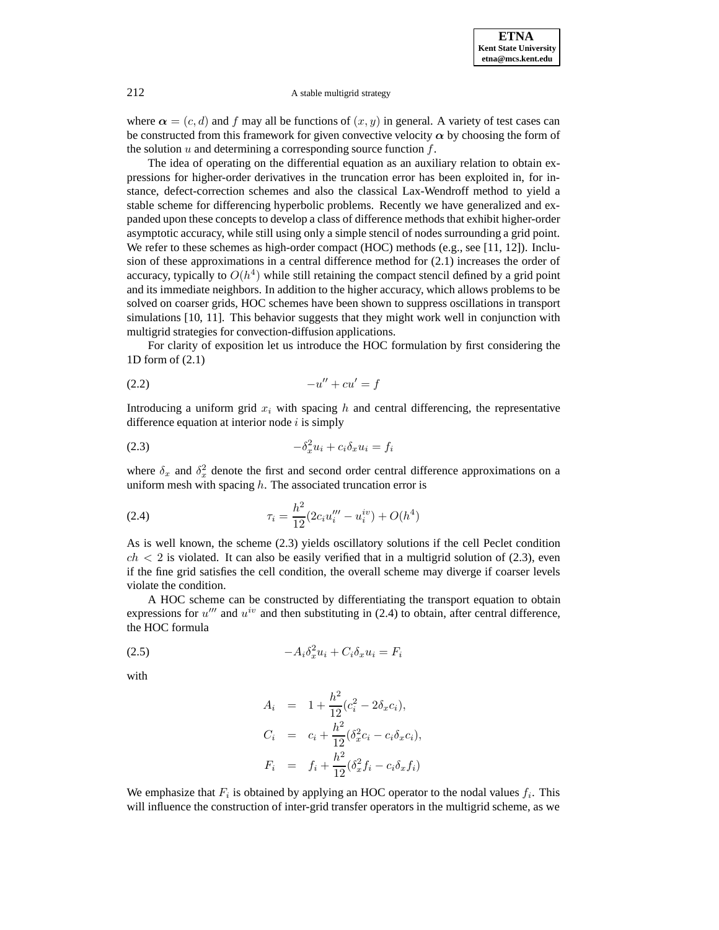

where  $\alpha = (c, d)$  and f may all be functions of  $(x, y)$  in general. A variety of test cases can be constructed from this framework for given convective velocity  $\alpha$  by choosing the form of the solution  $u$  and determining a corresponding source function  $f$ .

The idea of operating on the differential equation as an auxiliary relation to obtain expressions for higher-order derivatives in the truncation error has been exploited in, for instance, defect-correction schemes and also the classical Lax-Wendroff method to yield a stable scheme for differencing hyperbolic problems. Recently we have generalized and expanded upon these concepts to develop a class of difference methods that exhibit higher-order asymptotic accuracy, while still using only a simple stencil of nodes surrounding a grid point. We refer to these schemes as high-order compact (HOC) methods (e.g., see [11, 12]). Inclusion of these approximations in a central difference method for (2.1) increases the order of accuracy, typically to  $O(h^4)$  while still retaining the compact stencil defined by a grid point and its immediate neighbors. In addition to the higher accuracy, which allows problems to be solved on coarser grids, HOC schemes have been shown to suppress oscillations in transport simulations [10, 11]. This behavior suggests that they might work well in conjunction with multigrid strategies for convection-diffusion applications.

For clarity of exposition let us introduce the HOC formulation by first considering the 1D form of (2.1)

$$
(2.2) \qquad \qquad -u'' + cu' = f
$$

Introducing a uniform grid  $x_i$  with spacing h and central differencing, the representative difference equation at interior node  $i$  is simply

$$
(2.3) \t\t - $\delta_x^2 u_i + c_i \delta_x u_i = f_i$
$$

where  $\delta_x$  and  $\delta_x^2$  denote the first and second order central difference approximations on a uniform mesh with spacing  $h$ . The associated truncation error is

(2.4) 
$$
\tau_i = \frac{h^2}{12} (2c_i u_i''' - u_i^{iv}) + O(h^4)
$$

As is well known, the scheme (2.3) yields oscillatory solutions if the cell Peclet condition  $ch < 2$  is violated. It can also be easily verified that in a multigrid solution of (2.3), even if the fine grid satisfies the cell condition, the overall scheme may diverge if coarser levels violate the condition.

A HOC scheme can be constructed by differentiating the transport equation to obtain expressions for  $u^{\prime\prime\prime}$  and  $u^{iv}$  and then substituting in (2.4) to obtain, after central difference, the HOC formula

$$
(2.5) \t -A_i \delta_x^2 u_i + C_i \delta_x u_i = F_i
$$

with

$$
A_i = 1 + \frac{h^2}{12}(c_i^2 - 2\delta_x c_i),
$$
  
\n
$$
C_i = c_i + \frac{h^2}{12}(\delta_x^2 c_i - c_i \delta_x c_i),
$$
  
\n
$$
F_i = f_i + \frac{h^2}{12}(\delta_x^2 f_i - c_i \delta_x f_i)
$$

We emphasize that  $F_i$  is obtained by applying an HOC operator to the nodal values  $f_i$ . This will influence the construction of inter-grid transfer operators in the multigrid scheme, as we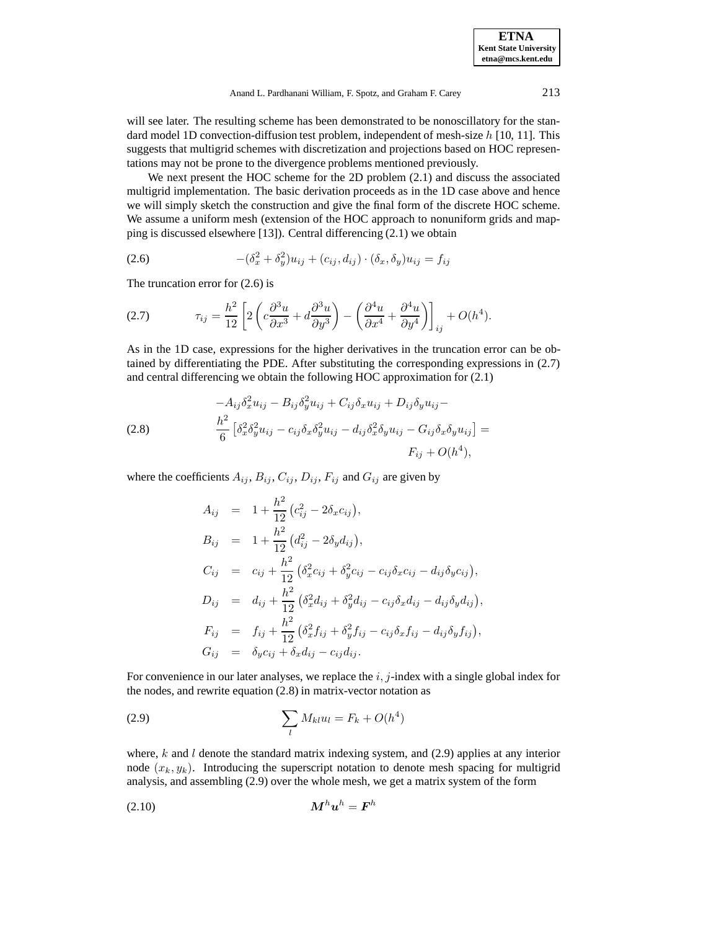**ETNA Kent State University etna@mcs.kent.edu**

Anand L. Pardhanani William, F. Spotz, and Graham F. Carey 213

will see later. The resulting scheme has been demonstrated to be nonoscillatory for the standard model 1D convection-diffusion test problem, independent of mesh-size h [10, 11]. This suggests that multigrid schemes with discretization and projections based on HOC representations may not be prone to the divergence problems mentioned previously.

We next present the HOC scheme for the 2D problem (2.1) and discuss the associated multigrid implementation. The basic derivation proceeds as in the 1D case above and hence we will simply sketch the construction and give the final form of the discrete HOC scheme. We assume a uniform mesh (extension of the HOC approach to nonuniform grids and mapping is discussed elsewhere [13]). Central differencing (2.1) we obtain

(2.6) 
$$
-(\delta_x^2 + \delta_y^2)u_{ij} + (c_{ij}, d_{ij}) \cdot (\delta_x, \delta_y)u_{ij} = f_{ij}
$$

The truncation error for (2.6) is

(2.7) 
$$
\tau_{ij} = \frac{h^2}{12} \left[ 2 \left( c \frac{\partial^3 u}{\partial x^3} + d \frac{\partial^3 u}{\partial y^3} \right) - \left( \frac{\partial^4 u}{\partial x^4} + \frac{\partial^4 u}{\partial y^4} \right) \right]_{ij} + O(h^4).
$$

As in the 1D case, expressions for the higher derivatives in the truncation error can be obtained by differentiating the PDE. After substituting the corresponding expressions in (2.7) and central differencing we obtain the following HOC approximation for (2.1)

(2.8) 
$$
-A_{ij}\delta_x^2 u_{ij} - B_{ij}\delta_y^2 u_{ij} + C_{ij}\delta_x u_{ij} + D_{ij}\delta_y u_{ij} -
$$

$$
\frac{h^2}{6} \left[ \delta_x^2 \delta_y^2 u_{ij} - c_{ij}\delta_x \delta_y^2 u_{ij} - d_{ij}\delta_x^2 \delta_y u_{ij} - G_{ij}\delta_x \delta_y u_{ij} \right] =
$$

$$
F_{ij} + O(h^4),
$$

where the coefficients  $A_{ij}$ ,  $B_{ij}$ ,  $C_{ij}$ ,  $D_{ij}$ ,  $F_{ij}$  and  $G_{ij}$  are given by

$$
A_{ij} = 1 + \frac{h^2}{12} (c_{ij}^2 - 2\delta_x c_{ij}),
$$
  
\n
$$
B_{ij} = 1 + \frac{h^2}{12} (d_{ij}^2 - 2\delta_y d_{ij}),
$$
  
\n
$$
C_{ij} = c_{ij} + \frac{h^2}{12} (\delta_x^2 c_{ij} + \delta_y^2 c_{ij} - c_{ij} \delta_x c_{ij} - d_{ij} \delta_y c_{ij}),
$$
  
\n
$$
D_{ij} = d_{ij} + \frac{h^2}{12} (\delta_x^2 d_{ij} + \delta_y^2 d_{ij} - c_{ij} \delta_x d_{ij} - d_{ij} \delta_y d_{ij}),
$$
  
\n
$$
F_{ij} = f_{ij} + \frac{h^2}{12} (\delta_x^2 f_{ij} + \delta_y^2 f_{ij} - c_{ij} \delta_x f_{ij} - d_{ij} \delta_y f_{ij}),
$$
  
\n
$$
G_{ij} = \delta_y c_{ij} + \delta_x d_{ij} - c_{ij} d_{ij}.
$$

For convenience in our later analyses, we replace the  $i, j$ -index with a single global index for the nodes, and rewrite equation (2.8) in matrix-vector notation as

(2.9) 
$$
\sum_{l} M_{kl} u_l = F_k + O(h^4)
$$

where,  $k$  and  $l$  denote the standard matrix indexing system, and (2.9) applies at any interior node  $(x_k, y_k)$ . Introducing the superscript notation to denote mesh spacing for multigrid analysis, and assembling (2.9) over the whole mesh, we get a matrix system of the form

*M*<sup>h</sup>*u*<sup>h</sup> = *F*<sup>h</sup> (2.10)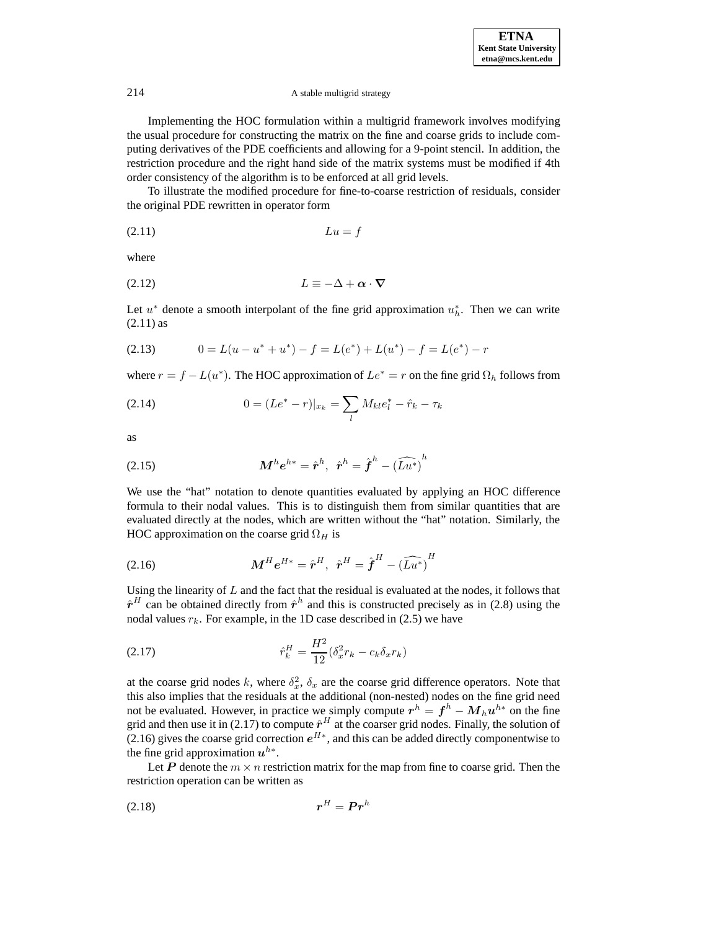Implementing the HOC formulation within a multigrid framework involves modifying the usual procedure for constructing the matrix on the fine and coarse grids to include computing derivatives of the PDE coefficients and allowing for a 9-point stencil. In addition, the restriction procedure and the right hand side of the matrix systems must be modified if 4th order consistency of the algorithm is to be enforced at all grid levels.

To illustrate the modified procedure for fine-to-coarse restriction of residuals, consider the original PDE rewritten in operator form

$$
(2.11)\qquad \qquad Lu = f
$$

where

$$
(2.12) \t\t\t L \equiv -\Delta + \alpha \cdot \nabla
$$

Let  $u^*$  denote a smooth interpolant of the fine grid approximation  $u_h^*$ . Then we can write (2.11) as

$$
(2.13) \t 0 = L(u - u^* + u^*) - f = L(e^*) + L(u^*) - f = L(e^*) - r
$$

where  $r = f - L(u^*)$ . The HOC approximation of  $Le^* = r$  on the fine grid  $\Omega_h$  follows from

(2.14) 
$$
0 = (Le^* - r)|_{x_k} = \sum_l M_{kl}e_l^* - \hat{r}_k - \tau_k
$$

as

(2.15) 
$$
\mathbf{M}^{h} \mathbf{e}^{h*} = \hat{\mathbf{r}}^{h}, \ \hat{\mathbf{r}}^{h} = \hat{\boldsymbol{f}}^{h} - (\widehat{L} \widehat{\mathbf{u}^{*}})^{h}
$$

We use the "hat" notation to denote quantities evaluated by applying an HOC difference formula to their nodal values. This is to distinguish them from similar quantities that are evaluated directly at the nodes, which are written without the "hat" notation. Similarly, the HOC approximation on the coarse grid  $\Omega_H$  is

*<sup>M</sup>*<sup>H</sup>*e*<sup>H</sup><sup>∗</sup> <sup>=</sup> *<sup>r</sup>*ˆ<sup>H</sup>, *<sup>r</sup>*ˆ<sup>H</sup> <sup>=</sup> *<sup>f</sup>*ˆ<sup>H</sup> − (Lud<sup>∗</sup>) H (2.16)

Using the linearity of  $L$  and the fact that the residual is evaluated at the nodes, it follows that  $\hat{r}^H$  can be obtained directly from  $\hat{r}^h$  and this is constructed precisely as in (2.8) using the nodal values  $r_k$ . For example, in the 1D case described in (2.5) we have

(2.17) 
$$
\hat{r}_k^H = \frac{H^2}{12} (\delta_x^2 r_k - c_k \delta_x r_k)
$$

at the coarse grid nodes k, where  $\delta_x^2$ ,  $\delta_x$  are the coarse grid difference operators. Note that this also implies that the residuals at the additional (non-nested) nodes on the fine grid need not be evaluated. However, in practice we simply compute  $r^h = f^h - M_h u^{h*}$  on the fine grid and then use it in (2.17) to compute  $\hat{r}^H$  at the coarser grid nodes. Finally, the solution of (2.16) gives the coarse grid correction  $e^{H*}$ , and this can be added directly componentwise to the fine grid approximation  $u^{h*}$ .

Let *P* denote the  $m \times n$  restriction matrix for the map from fine to coarse grid. Then the restriction operation can be written as

$$
r^H = \mathbf{P}r^h
$$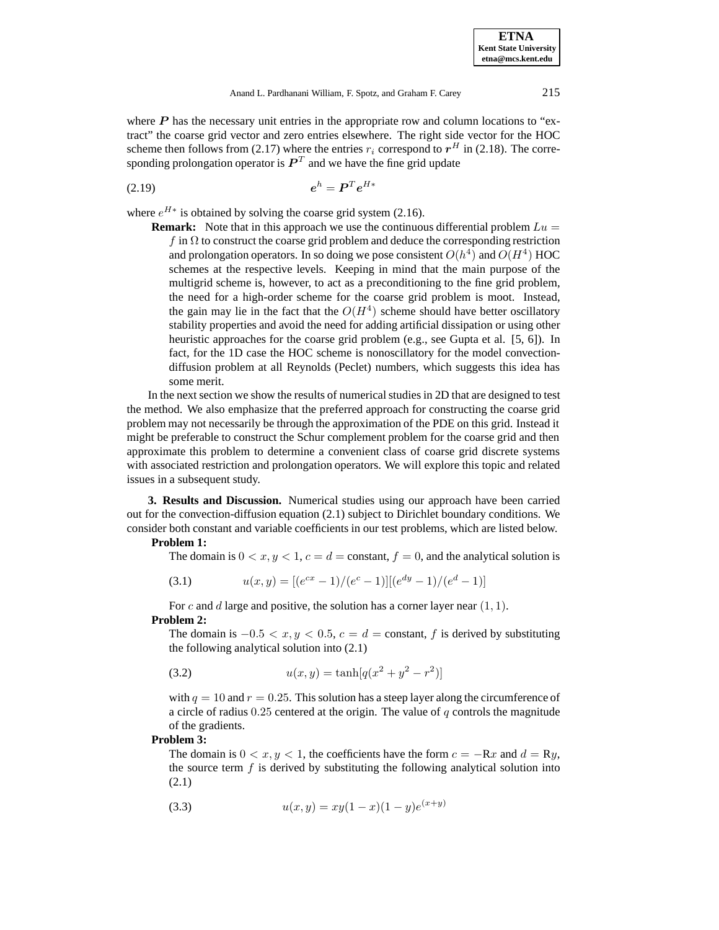where  $P$  has the necessary unit entries in the appropriate row and column locations to "extract" the coarse grid vector and zero entries elsewhere. The right side vector for the HOC scheme then follows from (2.17) where the entries  $r_i$  correspond to  $r<sup>H</sup>$  in (2.18). The corresponding prolongation operator is  $P<sup>T</sup>$  and we have the fine grid update

$$
(2.19) \t\t eh = \boldsymbol{P}^T e^{H*}
$$

where  $e^{H*}$  is obtained by solving the coarse grid system (2.16).

**Remark:** Note that in this approach we use the continuous differential problem  $Lu =$ f in  $\Omega$  to construct the coarse grid problem and deduce the corresponding restriction and prolongation operators. In so doing we pose consistent  $O(h^4)$  and  $O(H^4)$  HOC schemes at the respective levels. Keeping in mind that the main purpose of the multigrid scheme is, however, to act as a preconditioning to the fine grid problem, the need for a high-order scheme for the coarse grid problem is moot. Instead, the gain may lie in the fact that the  $O(H<sup>4</sup>)$  scheme should have better oscillatory stability properties and avoid the need for adding artificial dissipation or using other heuristic approaches for the coarse grid problem (e.g., see Gupta et al. [5, 6]). In fact, for the 1D case the HOC scheme is nonoscillatory for the model convectiondiffusion problem at all Reynolds (Peclet) numbers, which suggests this idea has some merit.

In the next section we show the results of numerical studies in 2D that are designed to test the method. We also emphasize that the preferred approach for constructing the coarse grid problem may not necessarily be through the approximation of the PDE on this grid. Instead it might be preferable to construct the Schur complement problem for the coarse grid and then approximate this problem to determine a convenient class of coarse grid discrete systems with associated restriction and prolongation operators. We will explore this topic and related issues in a subsequent study.

**3. Results and Discussion.** Numerical studies using our approach have been carried out for the convection-diffusion equation (2.1) subject to Dirichlet boundary conditions. We consider both constant and variable coefficients in our test problems, which are listed below.

## **Problem 1:**

The domain is  $0 < x, y < 1, c = d =$ constant,  $f = 0$ , and the analytical solution is

(3.1) 
$$
u(x,y) = [(e^{cx} - 1)/(e^c - 1)][(e^{dy} - 1)/(e^d - 1)]
$$

For c and d large and positive, the solution has a corner layer near  $(1, 1)$ . **Problem 2:**

The domain is  $-0.5 < x, y < 0.5, c = d$  = constant, f is derived by substituting the following analytical solution into (2.1)

(3.2) 
$$
u(x,y) = \tanh[q(x^2 + y^2 - r^2)]
$$

with  $q = 10$  and  $r = 0.25$ . This solution has a steep layer along the circumference of a circle of radius  $0.25$  centered at the origin. The value of q controls the magnitude of the gradients.

### **Problem 3:**

The domain is  $0 < x, y < 1$ , the coefficients have the form  $c = -Rx$  and  $d = Ry$ , the source term  $f$  is derived by substituting the following analytical solution into (2.1)

(3.3) 
$$
u(x,y) = xy(1-x)(1-y)e^{(x+y)}
$$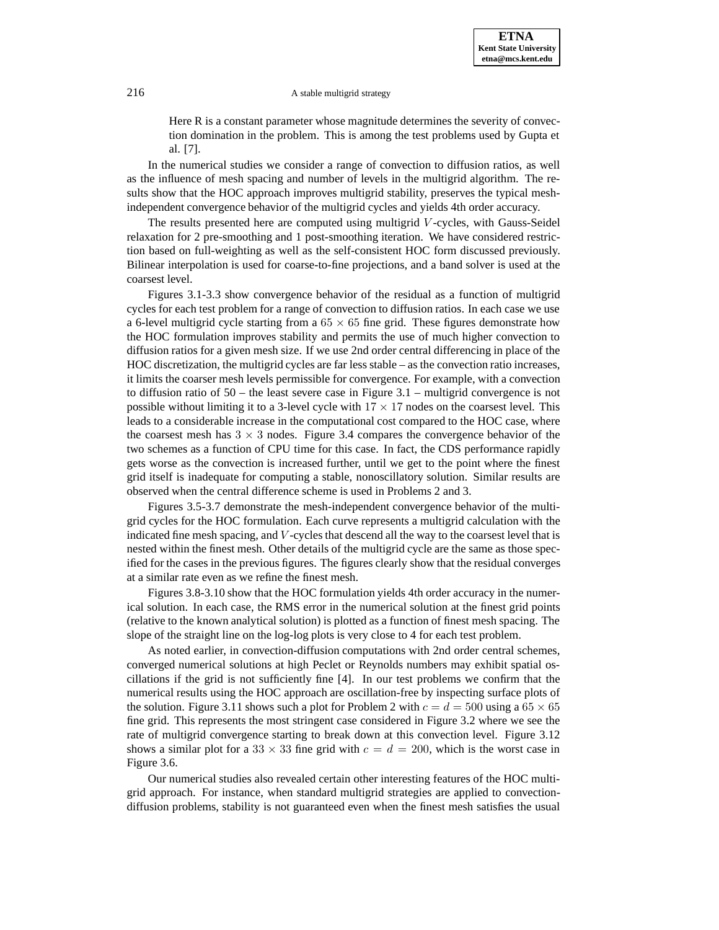Here R is a constant parameter whose magnitude determines the severity of convection domination in the problem. This is among the test problems used by Gupta et al. [7].

In the numerical studies we consider a range of convection to diffusion ratios, as well as the influence of mesh spacing and number of levels in the multigrid algorithm. The results show that the HOC approach improves multigrid stability, preserves the typical meshindependent convergence behavior of the multigrid cycles and yields 4th order accuracy.

The results presented here are computed using multigrid V -cycles, with Gauss-Seidel relaxation for 2 pre-smoothing and 1 post-smoothing iteration. We have considered restriction based on full-weighting as well as the self-consistent HOC form discussed previously. Bilinear interpolation is used for coarse-to-fine projections, and a band solver is used at the coarsest level.

Figures 3.1-3.3 show convergence behavior of the residual as a function of multigrid cycles for each test problem for a range of convection to diffusion ratios. In each case we use a 6-level multigrid cycle starting from a  $65 \times 65$  fine grid. These figures demonstrate how the HOC formulation improves stability and permits the use of much higher convection to diffusion ratios for a given mesh size. If we use 2nd order central differencing in place of the HOC discretization, the multigrid cycles are far less stable – as the convection ratio increases, it limits the coarser mesh levels permissible for convergence. For example, with a convection to diffusion ratio of  $50$  – the least severe case in Figure 3.1 – multigrid convergence is not possible without limiting it to a 3-level cycle with  $17 \times 17$  nodes on the coarsest level. This leads to a considerable increase in the computational cost compared to the HOC case, where the coarsest mesh has  $3 \times 3$  nodes. Figure 3.4 compares the convergence behavior of the two schemes as a function of CPU time for this case. In fact, the CDS performance rapidly gets worse as the convection is increased further, until we get to the point where the finest grid itself is inadequate for computing a stable, nonoscillatory solution. Similar results are observed when the central difference scheme is used in Problems 2 and 3.

Figures 3.5-3.7 demonstrate the mesh-independent convergence behavior of the multigrid cycles for the HOC formulation. Each curve represents a multigrid calculation with the indicated fine mesh spacing, and V -cycles that descend all the way to the coarsest level that is nested within the finest mesh. Other details of the multigrid cycle are the same as those specified for the cases in the previous figures. The figures clearly show that the residual converges at a similar rate even as we refine the finest mesh.

Figures 3.8-3.10 show that the HOC formulation yields 4th order accuracy in the numerical solution. In each case, the RMS error in the numerical solution at the finest grid points (relative to the known analytical solution) is plotted as a function of finest mesh spacing. The slope of the straight line on the log-log plots is very close to 4 for each test problem.

As noted earlier, in convection-diffusion computations with 2nd order central schemes, converged numerical solutions at high Peclet or Reynolds numbers may exhibit spatial oscillations if the grid is not sufficiently fine [4]. In our test problems we confirm that the numerical results using the HOC approach are oscillation-free by inspecting surface plots of the solution. Figure 3.11 shows such a plot for Problem 2 with  $c = d = 500$  using a 65  $\times$  65 fine grid. This represents the most stringent case considered in Figure 3.2 where we see the rate of multigrid convergence starting to break down at this convection level. Figure 3.12 shows a similar plot for a 33  $\times$  33 fine grid with  $c = d = 200$ , which is the worst case in Figure 3.6.

Our numerical studies also revealed certain other interesting features of the HOC multigrid approach. For instance, when standard multigrid strategies are applied to convectiondiffusion problems, stability is not guaranteed even when the finest mesh satisfies the usual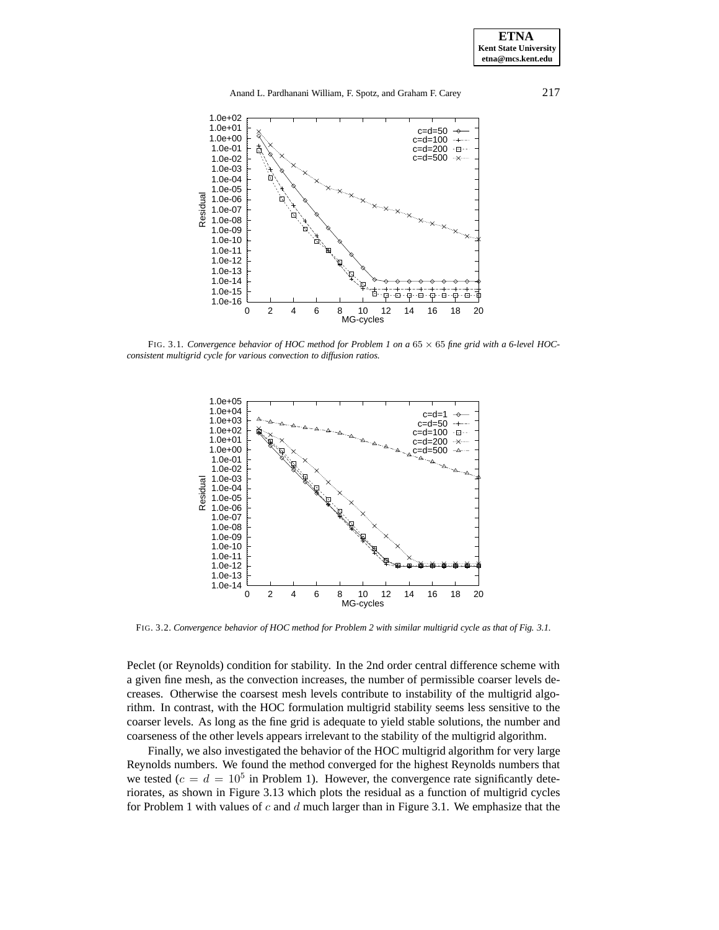

FIG. 3.1. *Convergence behavior of HOC method for Problem 1 on a* 65 × 65 *fine grid with a 6-level HOCconsistent multigrid cycle for various convection to diffusion ratios.*



FIG. 3.2. *Convergence behavior of HOC method for Problem 2 with similar multigrid cycle as that of Fig. 3.1.*

Peclet (or Reynolds) condition for stability. In the 2nd order central difference scheme with a given fine mesh, as the convection increases, the number of permissible coarser levels decreases. Otherwise the coarsest mesh levels contribute to instability of the multigrid algorithm. In contrast, with the HOC formulation multigrid stability seems less sensitive to the coarser levels. As long as the fine grid is adequate to yield stable solutions, the number and coarseness of the other levels appears irrelevant to the stability of the multigrid algorithm.

Finally, we also investigated the behavior of the HOC multigrid algorithm for very large Reynolds numbers. We found the method converged for the highest Reynolds numbers that we tested ( $c = d = 10^5$  in Problem 1). However, the convergence rate significantly deteriorates, as shown in Figure 3.13 which plots the residual as a function of multigrid cycles for Problem 1 with values of  $c$  and  $d$  much larger than in Figure 3.1. We emphasize that the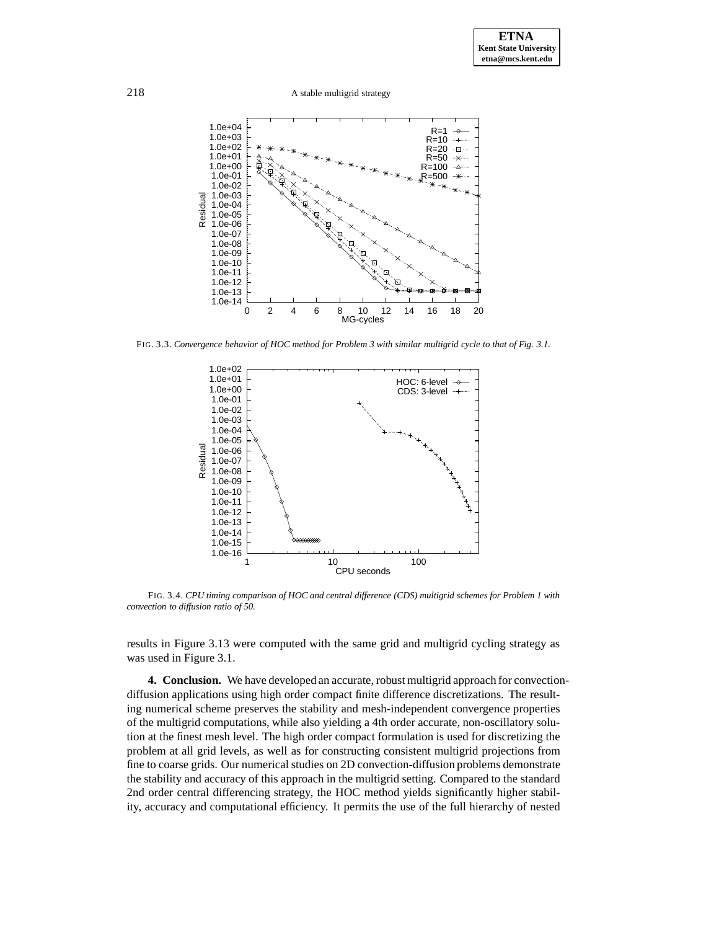

FIG. 3.3. *Convergence behavior of HOC method for Problem 3 with similar multigrid cycle to that of Fig. 3.1.*



FIG. 3.4. *CPU timing comparison of HOC and central difference (CDS) multigrid schemes for Problem 1 with convection to diffusion ratio of 50.*

results in Figure 3.13 were computed with the same grid and multigrid cycling strategy as was used in Figure 3.1.

**4. Conclusion.** We have developed an accurate, robust multigrid approach for convectiondiffusion applications using high order compact finite difference discretizations. The resulting numerical scheme preserves the stability and mesh-independent convergence properties of the multigrid computations, while also yielding a 4th order accurate, non-oscillatory solution at the finest mesh level. The high order compact formulation is used for discretizing the problem at all grid levels, as well as for constructing consistent multigrid projections from fine to coarse grids. Our numerical studies on 2D convection-diffusion problems demonstrate the stability and accuracy of this approach in the multigrid setting. Compared to the standard 2nd order central differencing strategy, the HOC method yields significantly higher stability, accuracy and computational efficiency. It permits the use of the full hierarchy of nested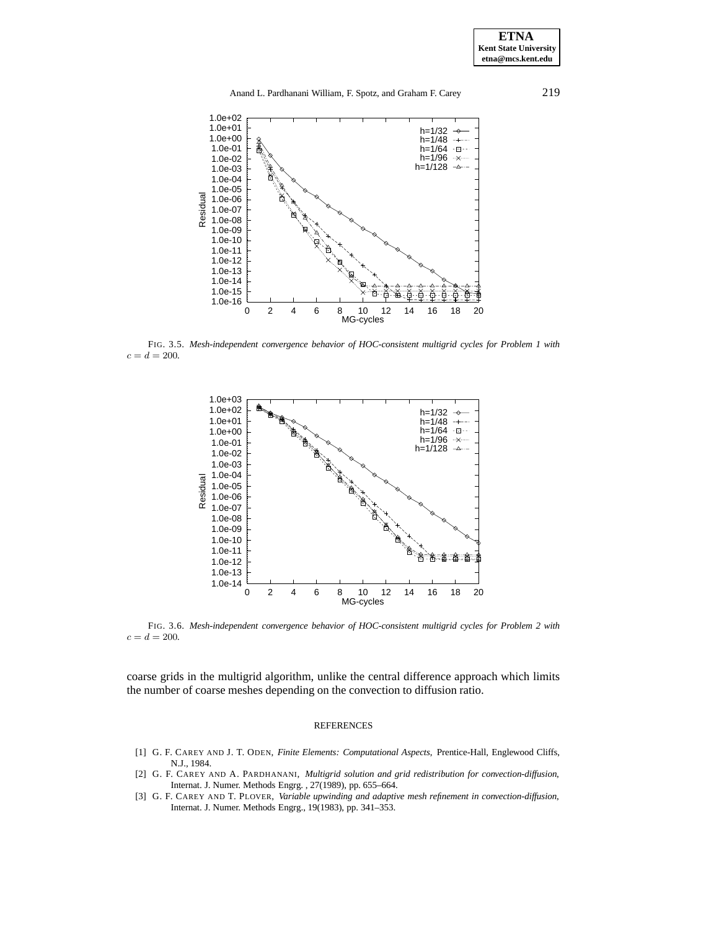**ETNA Kent State University etna@mcs.kent.edu**



FIG. 3.5. *Mesh-independent convergence behavior of HOC-consistent multigrid cycles for Problem 1 with*  $c = d = 200.$ 



FIG. 3.6. *Mesh-independent convergence behavior of HOC-consistent multigrid cycles for Problem 2 with*  $c = d = 200.$ 

coarse grids in the multigrid algorithm, unlike the central difference approach which limits the number of coarse meshes depending on the convection to diffusion ratio.

#### **REFERENCES**

- [1] G. F. CAREY AND J. T. ODEN, *Finite Elements: Computational Aspects*, Prentice-Hall, Englewood Cliffs, N.J., 1984.
- [2] G. F. CAREY AND A. PARDHANANI, *Multigrid solution and grid redistribution for convection-diffusion*, Internat. J. Numer. Methods Engrg. , 27(1989), pp. 655–664.
- [3] G. F. CAREY AND T. PLOVER, *Variable upwinding and adaptive mesh refinement in convection-diffusion*, Internat. J. Numer. Methods Engrg., 19(1983), pp. 341–353.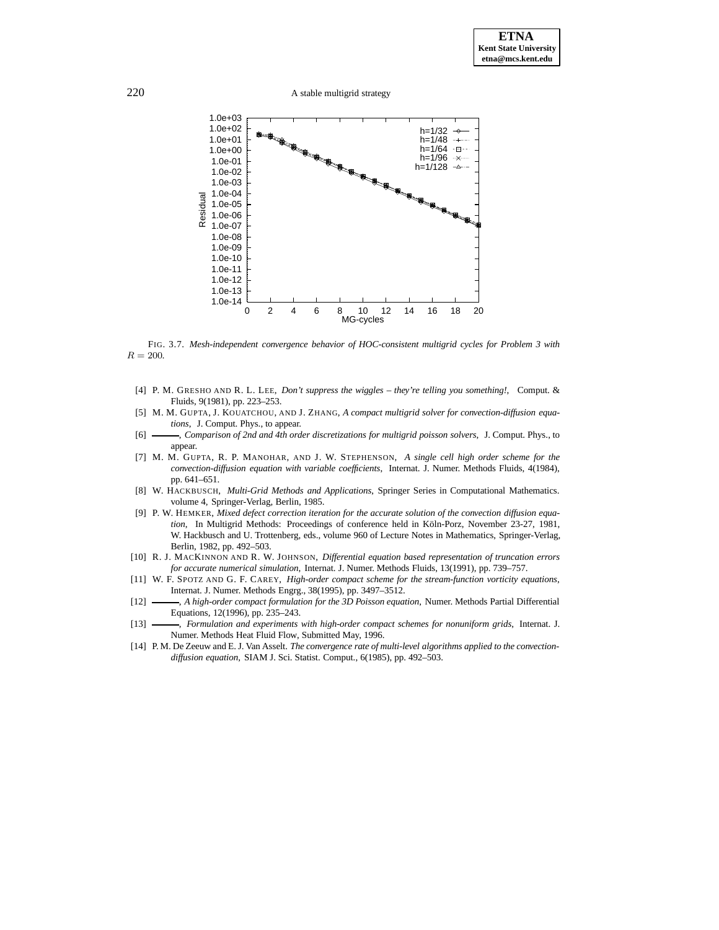220 A stable multigrid strategy



FIG. 3.7. *Mesh-independent convergence behavior of HOC-consistent multigrid cycles for Problem 3 with*  $R = 200.$ 

- [4] P. M. GRESHO AND R. L. LEE, *Don't suppress the wiggles they're telling you something!*, Comput. & Fluids, 9(1981), pp. 223–253.
- [5] M. M. GUPTA, J. KOUATCHOU, AND J. ZHANG, *A compact multigrid solver for convection-diffusion equations*, J. Comput. Phys., to appear.
- [6] , *Comparison of 2nd and 4th order discretizations for multigrid poisson solvers*, J. Comput. Phys., to appear.
- [7] M. M. GUPTA, R. P. MANOHAR, AND J. W. STEPHENSON, *A single cell high order scheme for the convection-diffusion equation with variable coefficients*, Internat. J. Numer. Methods Fluids, 4(1984), pp. 641–651.
- [8] W. HACKBUSCH, *Multi-Grid Methods and Applications*, Springer Series in Computational Mathematics. volume 4, Springer-Verlag, Berlin, 1985.
- [9] P. W. HEMKER, *Mixed defect correction iteration for the accurate solution of the convection diffusion equation*, In Multigrid Methods: Proceedings of conference held in Köln-Porz, November 23-27, 1981, W. Hackbusch and U. Trottenberg, eds., volume 960 of Lecture Notes in Mathematics, Springer-Verlag, Berlin, 1982, pp. 492–503.
- [10] R. J. MACKINNON AND R. W. JOHNSON, *Differential equation based representation of truncation errors for accurate numerical simulation*, Internat. J. Numer. Methods Fluids, 13(1991), pp. 739–757.
- [11] W. F. SPOTZ AND G. F. CAREY, *High-order compact scheme for the stream-function vorticity equations*, Internat. J. Numer. Methods Engrg., 38(1995), pp. 3497–3512.
- [12] , *A high-order compact formulation for the 3D Poisson equation*, Numer. Methods Partial Differential Equations, 12(1996), pp. 235–243.
- [13]  $\longrightarrow$ , *Formulation and experiments with high-order compact schemes for nonuniform grids*, Internat. J. Numer. Methods Heat Fluid Flow, Submitted May, 1996.
- [14] P. M. De Zeeuw and E. J. Van Asselt. *The convergence rate of multi-level algorithms applied to the convectiondiffusion equation*, SIAM J. Sci. Statist. Comput., 6(1985), pp. 492–503.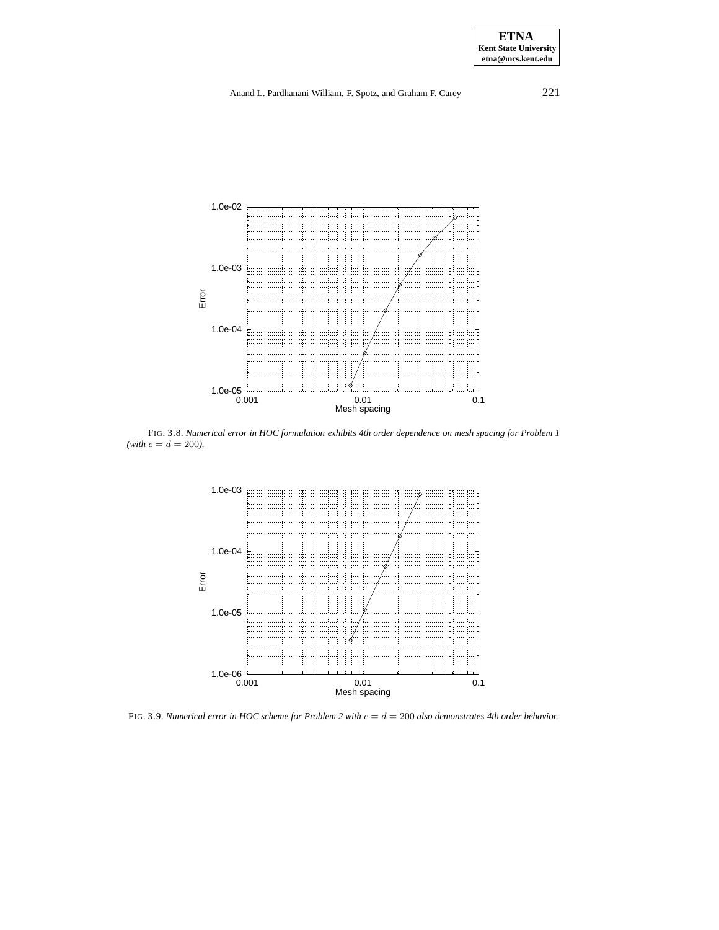## Anand L. Pardhanani William, F. Spotz, and Graham F. Carey 221



FIG. 3.8. *Numerical error in HOC formulation exhibits 4th order dependence on mesh spacing for Problem 1*  $(with\ c = d = 200).$ 



FIG. 3.9. *Numerical error in HOC scheme for Problem 2 with* c = d = 200 *also demonstrates 4th order behavior.*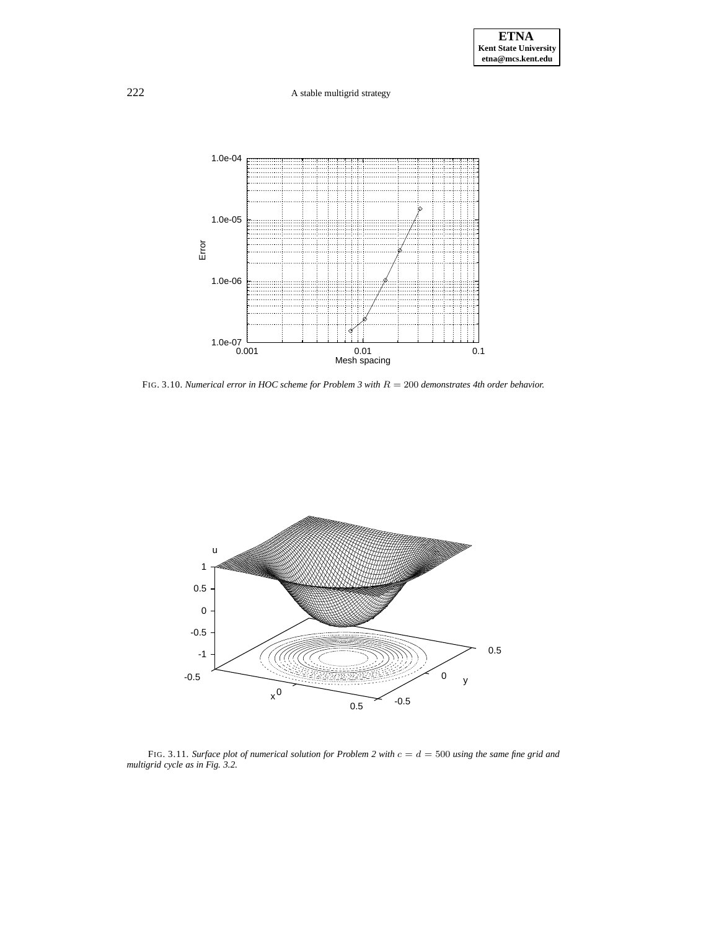

FIG. 3.10. *Numerical error in HOC scheme for Problem 3 with* R = 200 *demonstrates 4th order behavior.*



FIG. 3.11. *Surface plot of numerical solution for Problem 2 with* c = d = 500 *using the same fine grid and multigrid cycle as in Fig. 3.2.*